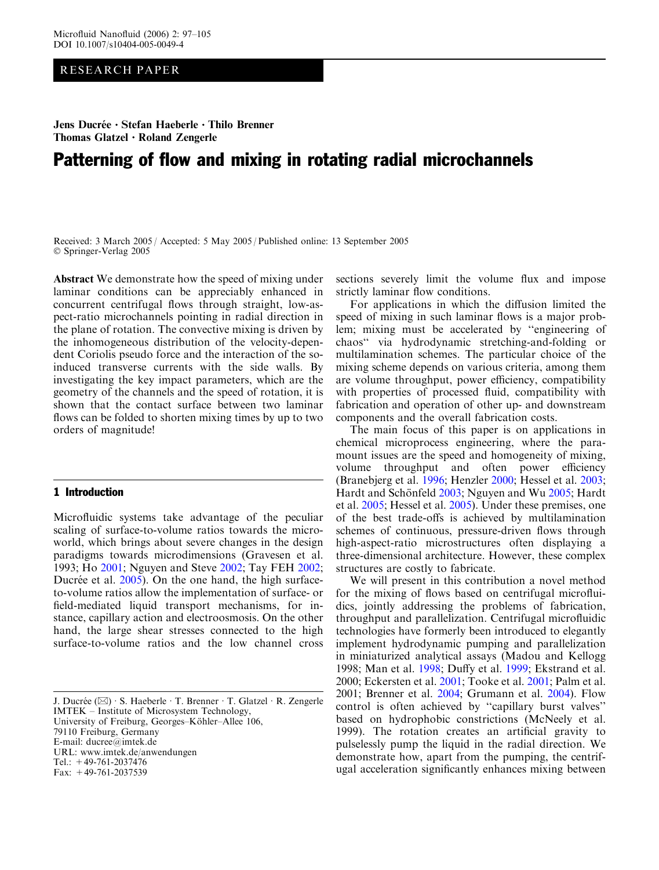RESEARCH PAPER

Jens Ducrée · Stefan Haeberle · Thilo Brenner Thomas Glatzel  $\cdot$  Roland Zengerle

# Patterning of flow and mixing in rotating radial microchannels

Received: 3 March 2005 / Accepted: 5 May 2005 / Published online: 13 September 2005 Springer-Verlag 2005

Abstract We demonstrate how the speed of mixing under laminar conditions can be appreciably enhanced in concurrent centrifugal flows through straight, low-aspect-ratio microchannels pointing in radial direction in the plane of rotation. The convective mixing is driven by the inhomogeneous distribution of the velocity-dependent Coriolis pseudo force and the interaction of the soinduced transverse currents with the side walls. By investigating the key impact parameters, which are the geometry of the channels and the speed of rotation, it is shown that the contact surface between two laminar flows can be folded to shorten mixing times by up to two orders of magnitude!

# 1 Introduction

Microfluidic systems take advantage of the peculiar scaling of surface-to-volume ratios towards the microworld, which brings about severe changes in the design paradigms towards microdimensions (Gravesen et al. [1993](#page-7-0); Ho [2001](#page-7-0); Nguyen and Steve [2002;](#page-8-0) Tay FEH [2002](#page-8-0); Ducrée et al.  $2005$ ). On the one hand, the high surfaceto-volume ratios allow the implementation of surface- or field-mediated liquid transport mechanisms, for instance, capillary action and electroosmosis. On the other hand, the large shear stresses connected to the high surface-to-volume ratios and the low channel cross

J. Ducrée ( $\boxtimes$ ) · S. Haeberle · T. Brenner · T. Glatzel · R. Zengerle IMTEK – Institute of Microsystem Technology, University of Freiburg, Georges-Köhler-Allee 106, 79110 Freiburg, Germany E-mail: ducree@imtek.de URL: www.imtek.de/anwendungen Tel.: +49-761-2037476 Fax: +49-761-2037539

sections severely limit the volume flux and impose strictly laminar flow conditions.

For applications in which the diffusion limited the speed of mixing in such laminar flows is a major problem; mixing must be accelerated by ''engineering of chaos'' via hydrodynamic stretching-and-folding or multilamination schemes. The particular choice of the mixing scheme depends on various criteria, among them are volume throughput, power efficiency, compatibility with properties of processed fluid, compatibility with fabrication and operation of other up- and downstream components and the overall fabrication costs.

The main focus of this paper is on applications in chemical microprocess engineering, where the paramount issues are the speed and homogeneity of mixing, volume throughput and often power efficiency (Branebjerg et al. [1996](#page-7-0); Henzler [2000;](#page-7-0) Hessel et al. [2003](#page-7-0); Hardt and Schönfeld [2003;](#page-7-0) Nguyen and Wu [2005;](#page-8-0) Hardt et al. [2005;](#page-7-0) Hessel et al. [2005\)](#page-7-0). Under these premises, one of the best trade-offs is achieved by multilamination schemes of continuous, pressure-driven flows through high-aspect-ratio microstructures often displaying a three-dimensional architecture. However, these complex structures are costly to fabricate.

We will present in this contribution a novel method for the mixing of flows based on centrifugal microfluidics, jointly addressing the problems of fabrication, throughput and parallelization. Centrifugal microfluidic technologies have formerly been introduced to elegantly implement hydrodynamic pumping and parallelization in miniaturized analytical assays (Madou and Kellogg [1998;](#page-7-0) Man et al. [1998](#page-7-0); Duffy et al. [1999;](#page-7-0) Ekstrand et al. [2000;](#page-7-0) Eckersten et al. [2001](#page-7-0); Tooke et al. [2001](#page-8-0); Palm et al. [2001;](#page-8-0) Brenner et al. [2004](#page-7-0); Grumann et al. [2004\)](#page-7-0). Flow control is often achieved by ''capillary burst valves'' based on hydrophobic constrictions (McNeely et al. [1999\)](#page-8-0). The rotation creates an artificial gravity to pulselessly pump the liquid in the radial direction. We demonstrate how, apart from the pumping, the centrifugal acceleration significantly enhances mixing between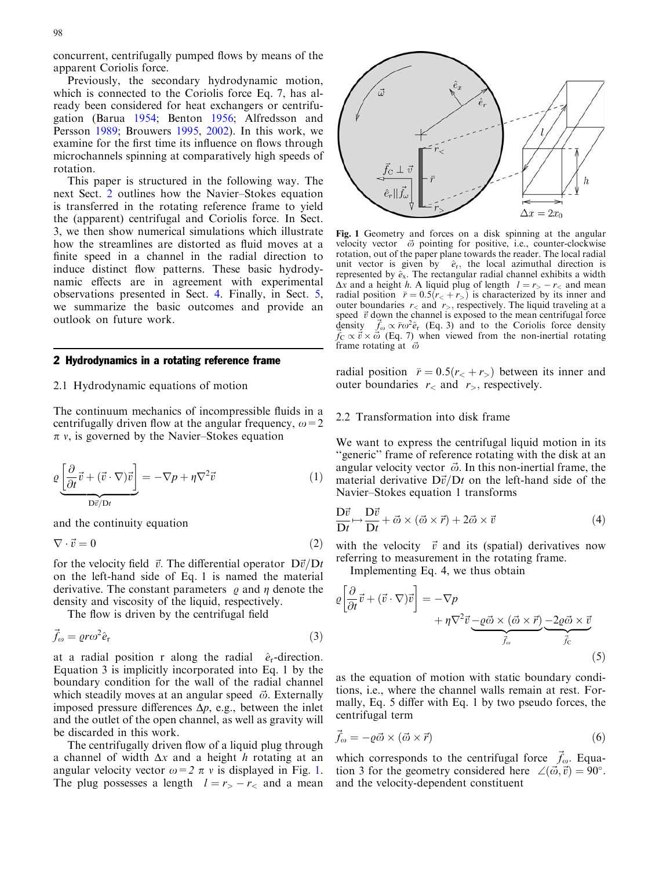<span id="page-1-0"></span>concurrent, centrifugally pumped flows by means of the apparent Coriolis force.

Previously, the secondary hydrodynamic motion, which is connected to the Coriolis force Eq. 7, has already been considered for heat exchangers or centrifugation (Barua [1954](#page-7-0); Benton [1956;](#page-7-0) Alfredsson and Persson [1989](#page-7-0); Brouwers [1995](#page-7-0), [2002\)](#page-7-0). In this work, we examine for the first time its influence on flows through microchannels spinning at comparatively high speeds of rotation.

This paper is structured in the following way. The next Sect. 2 outlines how the Navier–Stokes equation is transferred in the rotating reference frame to yield the (apparent) centrifugal and Coriolis force. In Sect. 3, we then show numerical simulations which illustrate how the streamlines are distorted as fluid moves at a finite speed in a channel in the radial direction to induce distinct flow patterns. These basic hydrodynamic effects are in agreement with experimental observations presented in Sect. 4. Finally, in Sect. 5, we summarize the basic outcomes and provide an outlook on future work.

# 2 Hydrodynamics in a rotating reference frame

# 2.1 Hydrodynamic equations of motion

The continuum mechanics of incompressible fluids in a centrifugally driven flow at the angular frequency,  $\omega$ =2  $\pi$  v, is governed by the Navier–Stokes equation

$$
\varrho \underbrace{\left[\frac{\partial}{\partial t}\vec{v} + (\vec{v} \cdot \nabla)\vec{v}\right]}_{\text{D}\vec{v}/\text{D}t} = -\nabla p + \eta \nabla^2 \vec{v} \tag{1}
$$

and the continuity equation

$$
\nabla \cdot \vec{v} = 0 \tag{2}
$$

for the velocity field  $\vec{v}$ . The differential operator  $D\vec{v}/Dt$ on the left-hand side of Eq. 1 is named the material derivative. The constant parameters  $\rho$  and  $\eta$  denote the density and viscosity of the liquid, respectively.

The flow is driven by the centrifugal field

$$
\vec{f}_{\omega} = \varrho r \omega^2 \hat{e}_{\rm r} \tag{3}
$$

at a radial position r along the radial  $\hat{e}_r$ -direction. Equation 3 is implicitly incorporated into Eq. 1 by the boundary condition for the wall of the radial channel which steadily moves at an angular speed  $\vec{\omega}$ . Externally imposed pressure differences  $\Delta p$ , e.g., between the inlet and the outlet of the open channel, as well as gravity will be discarded in this work.

The centrifugally driven flow of a liquid plug through a channel of width  $\Delta x$  and a height h rotating at an angular velocity vector  $\omega=2 \pi v$  is displayed in Fig. 1. The plug possesses a length  $l = r_> - r_<$  and a mean



Fig. 1 Geometry and forces on a disk spinning at the angular velocity vector  $\vec{\omega}$  pointing for positive, i.e., counter-clockwise rotation, out of the paper plane towards the reader. The local radial unit vector is given by  $\hat{e}_r$ , the local azimuthal direction is represented by  $\hat{e}_x$ . The rectangular radial channel exhibits a width  $\Delta x$  and a height h. A liquid plug of length  $l = r_+ - r_<$  and mean radial position  $\bar{r} = 0.5(r<sub>0</sub> + r<sub>0</sub>)$  is characterized by its inner and outer boundaries  $r<$  and  $r<sub>></sub>$ , respectively. The liquid traveling at a speed  $\vec{v}$  down the channel is exposed to the mean centrifugal force density  $\vec{f}_\text{c} \propto \vec{v} \times \vec{\omega}$  (Eq. 7) when viewed from the non-inertial rotating  $\vec{f}_\text{C} \propto \vec{v} \times \vec{\omega}$  (Eq. 7) when viewed from the non-inertial rotating frame rotating at  $\vec{\omega}$ 

radial position  $\bar{r} = 0.5(r<sub>0</sub> + r<sub>0</sub>)$  between its inner and outer boundaries  $r<sub>0</sub>$  and  $r<sub>0</sub>$ , respectively.

## 2.2 Transformation into disk frame

We want to express the centrifugal liquid motion in its "generic" frame of reference rotating with the disk at an angular velocity vector  $\vec{\omega}$ . In this non-inertial frame, the material derivative  $D\vec{v}/Dt$  on the left-hand side of the Navier–Stokes equation 1 transforms

$$
\frac{D\vec{v}}{Dt} \mapsto \frac{D\vec{v}}{Dt} + \vec{\omega} \times (\vec{\omega} \times \vec{r}) + 2\vec{\omega} \times \vec{v}
$$
 (4)

with the velocity  $\vec{v}$  and its (spatial) derivatives now referring to measurement in the rotating frame.

Implementing Eq. 4, we thus obtain

$$
\varrho \left[ \frac{\partial}{\partial t} \vec{v} + (\vec{v} \cdot \nabla) \vec{v} \right] = -\nabla p \n+ \eta \nabla^2 \vec{v} \underbrace{-\varrho \vec{\omega} \times (\vec{\omega} \times \vec{r})}_{\vec{f}_\omega} \underbrace{-2\varrho \vec{\omega} \times \vec{v}}_{\vec{f}_\text{C}}
$$
\n(5)

as the equation of motion with static boundary conditions, i.e., where the channel walls remain at rest. Formally, Eq. 5 differ with Eq. 1 by two pseudo forces, the centrifugal term

$$
\vec{f}_{\omega} = -\varrho \vec{\omega} \times (\vec{\omega} \times \vec{r}) \tag{6}
$$

which corresponds to the centrifugal force  $\vec{f}_\omega$ . Equation 3 for the geometry considered here  $\angle(\vec{\omega}, \vec{v}) = 90^\circ$ . and the velocity-dependent constituent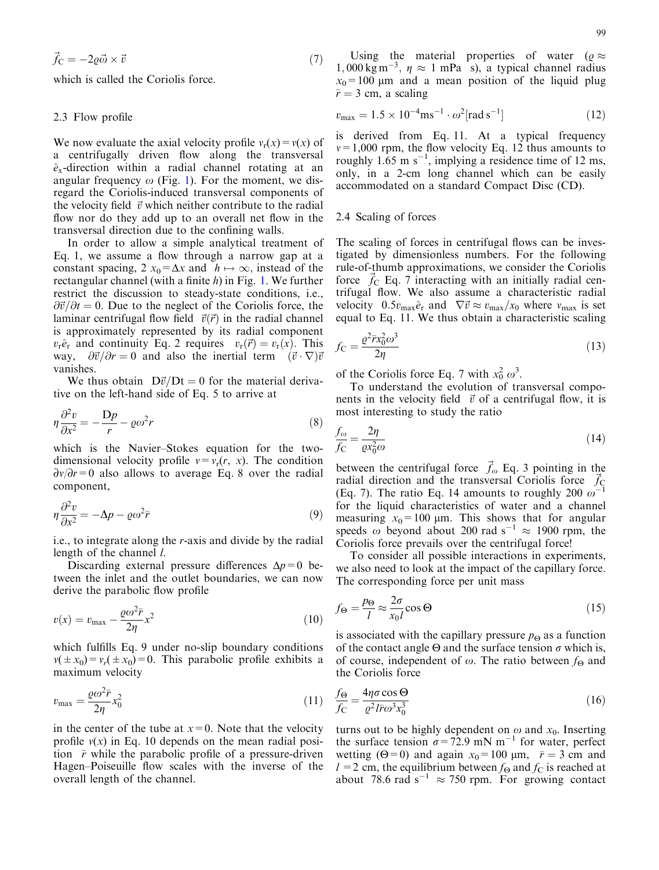$$
\vec{f}_C = -2\varrho \vec{\omega} \times \vec{v} \tag{7}
$$

which is called the Coriolis force.

## 2.3 Flow profile

We now evaluate the axial velocity profile  $v_r(x) = v(x)$  of a centrifugally driven flow along the transversal  $\hat{e}_x$ -direction within a radial channel rotating at an angular frequency  $\omega$  (Fig. [1\). For the moment, we dis](#page-1-0)[regard the Coriolis-induced transversal components of](#page-1-0) [the velocity field](#page-1-0)  $\vec{v}$  [which neither contribute to the radial](#page-1-0) [flow nor do they add up to an overall net flow in the](#page-1-0) [transversal direction due to the confining walls.](#page-1-0)

In order to allow a simple analytical treatment of Eq. 1, we assume a flow through a narrow gap at a constant spacing,  $2 x_0 = \Delta x$  and  $h \mapsto \infty$ , instead of the rectangular channel (with a finite h) in Fig. [1. We further](#page-1-0) [restrict the discussion to steady-state conditions, i.e.,](#page-1-0)  $\partial \vec{v}/\partial t = 0$ . [Due to the neglect of the Coriolis force, the](#page-1-0) [laminar centrifugal flow field](#page-1-0)  $\vec{v}(\vec{r})$  [in the radial channel](#page-1-0) [is approximately represented by its radial component](#page-1-0)  $v_r\hat{e}_r$  [and continuity Eq. 2 requires](#page-1-0)  $v_r(\vec{r}) = v_r(x)$ . [This](#page-1-0) [way,](#page-1-0)  $\frac{\partial \vec{v}}{\partial r} = 0$  and also the inertial term  $(\vec{v} \cdot \nabla) \vec{v}$ [vanishes.](#page-1-0)

We thus obtain  $D\vec{v}/Dt=0$  for the material derivative on the left-hand side of Eq. 5 to arrive at

$$
\eta \frac{\partial^2 v}{\partial x^2} = -\frac{\mathcal{D}p}{r} - \varrho \omega^2 r \tag{8}
$$

which is the Navier–Stokes equation for the twodimensional velocity profile  $v = v_r(r, x)$ . The condition  $\partial v/\partial r=0$  also allows to average Eq. 8 over the radial component,

$$
\eta \frac{\partial^2 v}{\partial x^2} = -\Delta p - \varrho \omega^2 \bar{r}
$$
\n(9)

i.e., to integrate along the r-axis and divide by the radial length of the channel *l*.

Discarding external pressure differences  $\Delta p=0$  between the inlet and the outlet boundaries, we can now derive the parabolic flow profile

$$
v(x) = v_{\text{max}} - \frac{\varrho \omega^2 \bar{r}}{2\eta} x^2
$$
\n(10)

which fulfills Eq. 9 under no-slip boundary conditions  $v(\pm x_0) = v_r(\pm x_0) = 0$ . This parabolic profile exhibits a maximum velocity

$$
v_{\text{max}} = \frac{\varrho \omega^2 \bar{r}}{2\eta} x_0^2 \tag{11}
$$

in the center of the tube at  $x=0$ . Note that the velocity profile  $v(x)$  in Eq. 10 depends on the mean radial position  $\bar{r}$  while the parabolic profile of a pressure-driven Hagen–Poiseuille flow scales with the inverse of the overall length of the channel.

99

Using the material properties of water ( $\varrho \approx$  $1,000 \text{ kg m}^{-3}$ ,  $\eta \approx 1 \text{ mPa}$  s), a typical channel radius  $x_0$ =100 µm and a mean position of the liquid plug  $\bar{r}$  = 3 cm, a scaling

$$
v_{\text{max}} = 1.5 \times 10^{-4} \text{ms}^{-1} \cdot \omega^2 [\text{rad s}^{-1}] \tag{12}
$$

is derived from Eq. 11. At a typical frequency  $v=1,000$  rpm, the flow velocity Eq. 12 thus amounts to roughly  $1.65 \text{ m s}^{-1}$ , implying a residence time of 12 ms, only, in a 2-cm long channel which can be easily accommodated on a standard Compact Disc (CD).

# 2.4 Scaling of forces

The scaling of forces in centrifugal flows can be investigated by dimensionless numbers. For the following rule-of-thumb approximations, we consider the Coriolis force  $\hat{f}_C$  Eq. 7 interacting with an initially radial centrifugal flow. We also assume a characteristic radial velocity 0.5 $v_{\text{max}}\hat{e}_r$  and  $\nabla \vec{v} \approx v_{\text{max}}/x_0$  where  $v_{\text{max}}$  is set equal to Eq. 11. We thus obtain a characteristic scaling

$$
f_C = \frac{\varrho^2 \bar{r} x_0^2 \omega^3}{2\eta} \tag{13}
$$

of the Coriolis force Eq. 7 with  $x_0^2 \omega^3$ .

To understand the evolution of transversal components in the velocity field  $\vec{v}$  of a centrifugal flow, it is most interesting to study the ratio

$$
\frac{f_{\omega}}{f_{\rm C}} = \frac{2\eta}{\varrho x_0^2 \omega} \tag{14}
$$

between the centrifugal force  $\vec{f}_{\omega}$  Eq. 3 pointing in the radial direction and the transversal Coriolis force  $\vec{f}_\text{C}$ (Eq. 7). The ratio Eq. 14 amounts to roughly 200  $\omega^{-1}$ for the liquid characteristics of water and a channel measuring  $x_0 = 100$  µm. This shows that for angular speeds  $\omega$  beyond about 200 rad s<sup>-1</sup>  $\approx$  1900 rpm, the Coriolis force prevails over the centrifugal force!

To consider all possible interactions in experiments, we also need to look at the impact of the capillary force. The corresponding force per unit mass

$$
f_{\Theta} = \frac{p_{\Theta}}{l} \approx \frac{2\sigma}{x_0 l} \cos \Theta \tag{15}
$$

is associated with the capillary pressure  $p_{\Theta}$  as a function of the contact angle  $\Theta$  and the surface tension  $\sigma$  which is, of course, independent of  $\omega$ . The ratio between  $f_{\Theta}$  and the Coriolis force

$$
\frac{f_{\Theta}}{f_{\rm C}} = \frac{4\eta \sigma \cos \Theta}{\varrho^2 l \bar{r} \omega^3 x_0^3} \tag{16}
$$

turns out to be highly dependent on  $\omega$  and  $x_0$ . Inserting the surface tension  $\sigma = 72.9$  mN m<sup>-1</sup> for water, perfect wetting ( $\Theta = 0$ ) and again  $x_0 = 100 \text{ µm}$ ,  $\bar{r} = 3 \text{ cm}$  and  $l = 2$  cm, the equilibrium between  $f_{\Theta}$  and  $f_{\Theta}$  is reached at about 78.6 rad s<sup>-1</sup>  $\approx$  750 rpm. For growing contact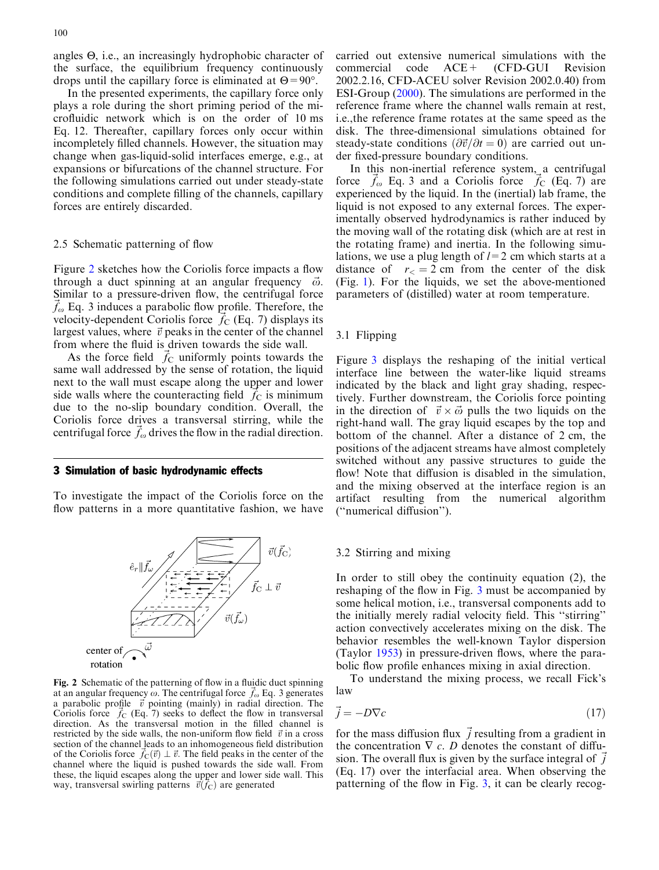angles Q, i.e., an increasingly hydrophobic character of the surface, the equilibrium frequency continuously drops until the capillary force is eliminated at  $\Theta = 90^\circ$ .

In the presented experiments, the capillary force only plays a role during the short priming period of the microfluidic network which is on the order of 10 ms Eq. 12. Thereafter, capillary forces only occur within incompletely filled channels. However, the situation may change when gas-liquid-solid interfaces emerge, e.g., at expansions or bifurcations of the channel structure. For the following simulations carried out under steady-state conditions and complete filling of the channels, capillary forces are entirely discarded.

# 2.5 Schematic patterning of flow

Figure 2 sketches how the Coriolis force impacts a flow through a duct spinning at an angular frequency  $\vec{\omega}$ . Similar to a pressure-driven flow, the centrifugal force  $f_{\omega}$  Eq. 3 induces a parabolic flow profile. Therefore, the velocity-dependent Coriolis force  $\hat{f}_C$  (Eq. 7) displays its largest values, where  $\vec{v}$  peaks in the center of the channel from where the fluid is driven towards the side wall.

As the force field  $\vec{f}_C$  uniformly points towards the same wall addressed by the sense of rotation, the liquid next to the wall must escape along the upper and lower side walls where the counteracting field  $f_C$  is minimum due to the no-slip boundary condition. Overall, the Coriolis force drives a transversal stirring, while the centrifugal force  $f_\omega$  drives the flow in the radial direction.

#### 3 Simulation of basic hydrodynamic effects

To investigate the impact of the Coriolis force on the flow patterns in a more quantitative fashion, we have



Fig. 2 Schematic of the patterning of flow in a fluidic duct spinning at an angular frequency  $\omega$ . The centrifugal force  $\vec{f}_{\omega}$  Eq. 3 generates a parabolic profile  $\vec{v}$  pointing (mainly) in radial direction. The Coriolis force  $\vec{f}_C$  (Eq. 7) seeks to deflect the flow in transversal direction. As the transversal motion in the filled channel is restricted by the side walls, the non-uniform flow field  $\vec{v}$  in a cross section of the channel leads to an inhomogeneous field distribution of the Coriolis force  $\vec{f}_C(\vec{v}) \perp \vec{v}$ . The field peaks in the center of the channel where the liquid is pushed towards the side wall. From these, the liquid escapes along the upper and lower side wall. This way, transversal swirling patterns  $\vec{v}(\vec{f}_C)$  are generated

carried out extensive numerical simulations with the commercial code  $ACE+$  (CFD-GUI Revision commercial code ACE+ (CFD-GUI Revision 2002.2.16, CFD-ACEU solver Revision 2002.0.40) from ESI-Group [\(2000](#page-7-0)). The simulations are performed in the reference frame where the channel walls remain at rest, i.e.,the reference frame rotates at the same speed as the disk. The three-dimensional simulations obtained for steady-state conditions  $(\partial \vec{v}/\partial t=0)$  are carried out under fixed-pressure boundary conditions.

In this non-inertial reference system, a centrifugal force  $\vec{f}_\text{o}$  Eq. 3 and a Coriolis force  $\vec{f}_\text{C}$  (Eq. 7) are experienced by the liquid. In the (inertial) lab frame, the liquid is not exposed to any external forces. The experimentally observed hydrodynamics is rather induced by the moving wall of the rotating disk (which are at rest in the rotating frame) and inertia. In the following simulations, we use a plug length of  $l=2$  cm which starts at a distance of  $r<sub>5</sub> = 2$  cm from the center of the disk (Fig. [1\). For the liquids, we set the above-mentioned](#page-1-0) [parameters of \(distilled\) water at room temperature.](#page-1-0)

## 3.1 Flipping

Figure 3 [displays the reshaping of the initial vertical](#page-4-0) [interface line between the water-like liquid streams](#page-4-0) [indicated by the black and light gray shading, respec](#page-4-0)[tively. Further downstream, the Coriolis force pointing](#page-4-0) [in the direction of](#page-4-0)  $\vec{v} \times \vec{\omega}$  [pulls the two liquids on the](#page-4-0) [right-hand wall. The gray liquid escapes by the top and](#page-4-0) [bottom of the channel. After a distance of 2 cm, the](#page-4-0) [positions of the adjacent streams have almost completely](#page-4-0) [switched without any passive structures to guide the](#page-4-0) [flow! Note that diffusion is disabled in the simulation,](#page-4-0) [and the mixing observed at the interface region is an](#page-4-0) [artifact resulting from the numerical algorithm](#page-4-0) [\(''numerical diffusion''\).](#page-4-0)

## 3.2 Stirring and mixing

In order to still obey the continuity equation (2), the reshaping of the flow in Fig. 3 [must be accompanied by](#page-4-0) [some helical motion, i.e., transversal components add to](#page-4-0) [the initially merely radial velocity field. This ''stirring''](#page-4-0) [action convectively accelerates mixing on the disk. The](#page-4-0) [behavior resembles the well-known Taylor dispersion](#page-4-0) [\(Taylor](#page-8-0) 1953) in pressure-driven flows, where the parabolic flow profile enhances mixing in axial direction.

To understand the mixing process, we recall Fick's law

$$
\vec{j} = -D\nabla c \tag{17}
$$

for the mass diffusion flux  $\vec{j}$  resulting from a gradient in the concentration  $\nabla c$ . D denotes the constant of diffusion. The overall flux is given by the surface integral of  $\vec{j}$ (Eq. 17) over the interfacial area. When observing the patterning of the flow in Fig. [3, it can be clearly recog-](#page-4-0)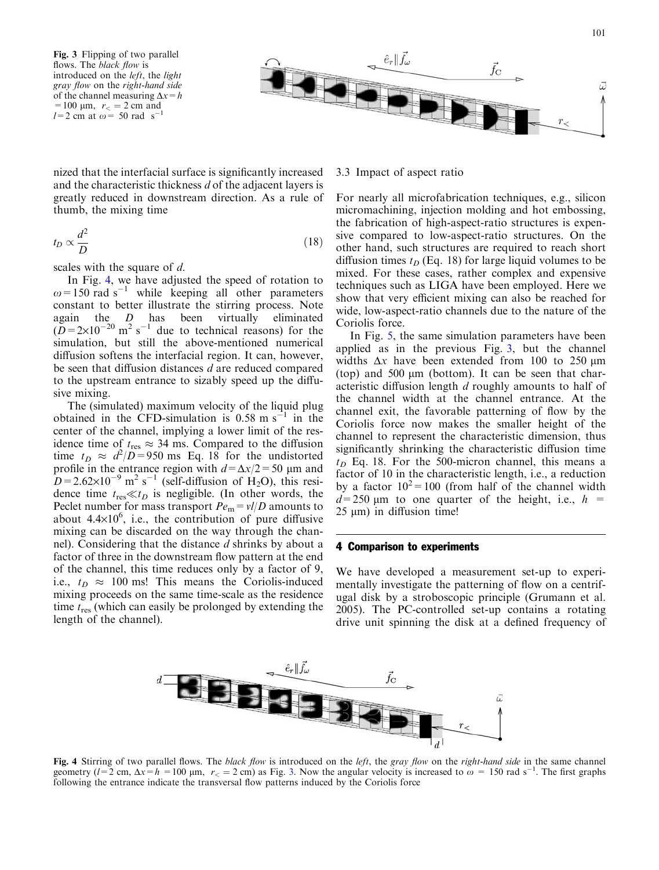<span id="page-4-0"></span>



nized that the interfacial surface is significantly increased and the characteristic thickness d of the adjacent layers is greatly reduced in downstream direction. As a rule of thumb, the mixing time

$$
t_D \propto \frac{d^2}{D} \tag{18}
$$

scales with the square of d.

In Fig. 4, we have adjusted the speed of rotation to  $\omega$  = 150 rad s<sup>-1</sup> while keeping all other parameters constant to better illustrate the stirring process. Note again the D has been virtually eliminated  $(D=2\times10^{-20} \text{ m}^2 \text{ s}^{-1}$  due to technical reasons) for the simulation, but still the above-mentioned numerical diffusion softens the interfacial region. It can, however, be seen that diffusion distances d are reduced compared to the upstream entrance to sizably speed up the diffusive mixing.

The (simulated) maximum velocity of the liquid plug obtained in the CFD-simulation is  $0.58 \text{ m s}^{-1}$  in the center of the channel, implying a lower limit of the residence time of  $t_{res} \approx 34$  ms. Compared to the diffusion time  $t_D \approx d^2/D = 950$  ms Eq. 18 for the undistorted profile in the entrance region with  $d = \Delta x/2 = 50 \text{ }\mu\text{m}$  and  $D=2.62\times10^{-9}$  m<sup>2</sup> s<sup>-1</sup> (self-diffusion of H<sub>2</sub>O), this residence time  $t_{\text{res}} \ll t_D$  is negligible. (In other words, the Peclet number for mass transport  $Pe<sub>m</sub> = vI/D$  amounts to about  $4.4 \times 10^6$ , i.e., the contribution of pure diffusive mixing can be discarded on the way through the channel). Considering that the distance d shrinks by about a factor of three in the downstream flow pattern at the end of the channel, this time reduces only by a factor of 9, i.e.,  $t_D \approx 100$  ms! This means the Coriolis-induced mixing proceeds on the same time-scale as the residence time  $t_{res}$  (which can easily be prolonged by extending the length of the channel).

# 3.3 Impact of aspect ratio

For nearly all microfabrication techniques, e.g., silicon micromachining, injection molding and hot embossing, the fabrication of high-aspect-ratio structures is expensive compared to low-aspect-ratio structures. On the other hand, such structures are required to reach short diffusion times  $t_D$  (Eq. 18) for large liquid volumes to be mixed. For these cases, rather complex and expensive techniques such as LIGA have been employed. Here we show that very efficient mixing can also be reached for wide, low-aspect-ratio channels due to the nature of the Coriolis force.

In Fig. [5, the same simulation parameters have been](#page-5-0) applied as in the previous Fig. 3, but the channel widths  $\Delta x$  have been extended from 100 to 250  $\mu$ m (top) and 500  $\mu$ m (bottom). It can be seen that characteristic diffusion length d roughly amounts to half of the channel width at the channel entrance. At the channel exit, the favorable patterning of flow by the Coriolis force now makes the smaller height of the channel to represent the characteristic dimension, thus significantly shrinking the characteristic diffusion time  $t_D$  Eq. 18. For the 500-micron channel, this means a factor of 10 in the characteristic length, i.e., a reduction by a factor  $10^2 = 100$  (from half of the channel width  $d=250$  µm to one quarter of the height, i.e.,  $h =$  $25 \mu m$ ) in diffusion time!

## 4 Comparison to experiments

We have developed a measurement set-up to experimentally investigate the patterning of flow on a centrifugal disk by a stroboscopic principle (Grumann et al. [2005\)](#page-7-0). The PC-controlled set-up contains a rotating drive unit spinning the disk at a defined frequency of



Fig. 4 Stirring of two parallel flows. The black flow is introduced on the left, the gray flow on the right-hand side in the same channel geometry  $(l=2 \text{ cm}, \Delta x=h = 100 \text{ }\mu\text{m}, r<sub>0</sub> = 2 \text{ cm})$  as Fig. 3. Now the angular velocity is increased to  $\omega = 150 \text{ rad s}^{-1}$ . The first graphs following the entrance indicate the transversal flow patterns induced by the Coriolis force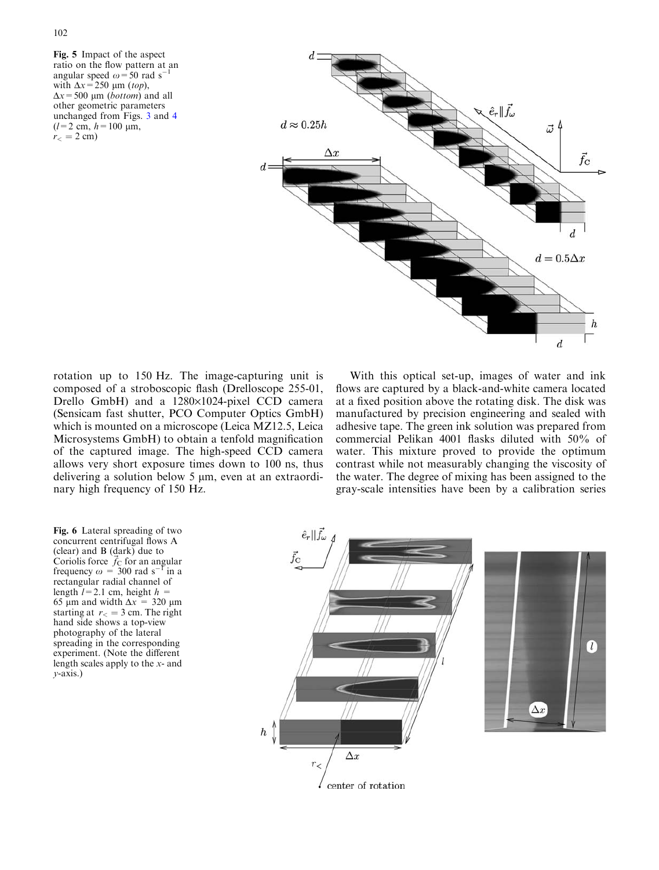<span id="page-5-0"></span>Fig. 5 Impact of the aspect ratio on the flow pattern at an<br>angular speed  $\omega = 50$  rad  $s^{-1}$ angular speed  $\omega$  = 50 rad s<sup>-</sup> with  $\Delta x = 250 \mu m$  (top),  $\Delta x$  = 500 µm (*bottom*) and all other geometric parameters unchanged from Figs. 3 [and](#page-4-0) 4  $(l=2 \text{ cm}, h=100 \text{ }\mu\text{m},$  $r_{<}$  = 2 c[m\)](#page-4-0)



rotation up to 150 Hz. The image-capturing unit is composed of a stroboscopic flash (Drelloscope 255-01, Drello GmbH) and a 1280×1024-pixel CCD camera (Sensicam fast shutter, PCO Computer Optics GmbH) which is mounted on a microscope (Leica MZ12.5, Leica Microsystems GmbH) to obtain a tenfold magnification of the captured image. The high-speed CCD camera allows very short exposure times down to 100 ns, thus delivering a solution below  $5 \mu m$ , even at an extraordinary high frequency of 150 Hz.

With this optical set-up, images of water and ink flows are captured by a black-and-white camera located at a fixed position above the rotating disk. The disk was manufactured by precision engineering and sealed with adhesive tape. The green ink solution was prepared from commercial Pelikan 4001 flasks diluted with 50% of water. This mixture proved to provide the optimum contrast while not measurably changing the viscosity of the water. The degree of mixing has been assigned to the gray-scale intensities have been by a calibration series

Fig. 6 Lateral spreading of two concurrent centrifugal flows A (clear) and B  $(dark)$  due to Coriolis force  $\vec{f}_C$  for an angular frequency  $\omega = 300$  rad s<sup>-1</sup> in a rectangular radial channel of length  $l=2.1$  cm, height  $h =$ 65 µm and width  $\Delta x = 320$  µm starting at  $r_0 = 3$  cm. The right hand side shows a top-view photography of the lateral spreading in the corresponding experiment. (Note the different length scales apply to the x- and  $v$ -axis.)

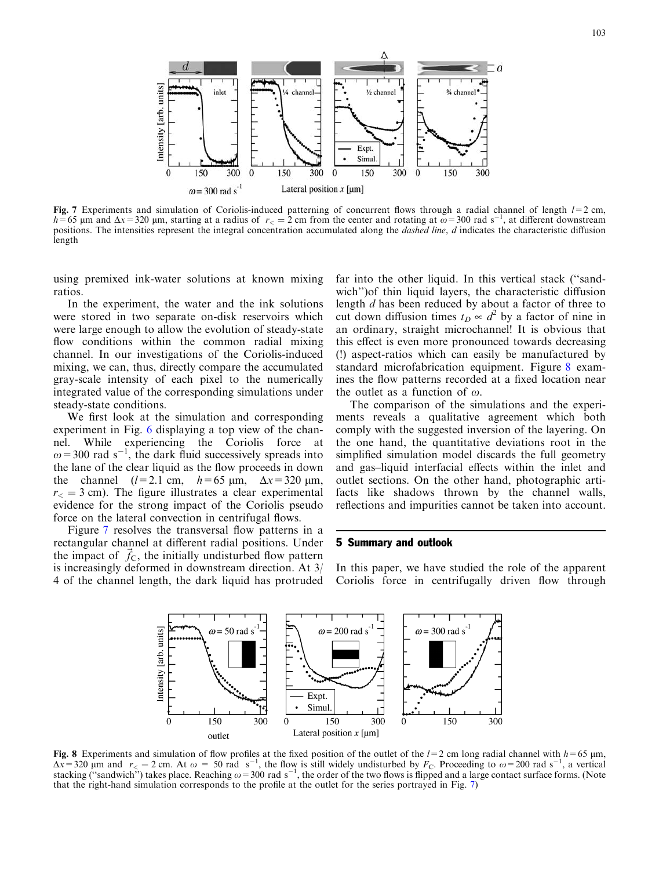

Fig. 7 Experiments and simulation of Coriolis-induced patterning of concurrent flows through a radial channel of length  $l=2$  cm,  $h=65$  µm and  $\Delta x=320$  µm, starting at a radius of  $r<sub>0</sub> = 2$  cm from the center and rotating at  $\omega = 300$  rad s<sup>-1</sup>, at different downstream positions. The intensities represent the integral concentration accumulated along the *dashed line*, d indicates the characteristic diffusion length

using premixed ink-water solutions at known mixing ratios.

In the experiment, the water and the ink solutions were stored in two separate on-disk reservoirs which were large enough to allow the evolution of steady-state flow conditions within the common radial mixing channel. In our investigations of the Coriolis-induced mixing, we can, thus, directly compare the accumulated gray-scale intensity of each pixel to the numerically integrated value of the corresponding simulations under steady-state conditions.

We first look at the simulation and corresponding experiment in Fig. 6 [displaying a top view of the chan](#page-5-0)[nel. While experiencing the Coriolis force at](#page-5-0)  $\omega$  = 300 [rad](#page-5-0) [s](#page-5-0)<sup>-[1](#page-5-0)</sup>[, the dark fluid successively spreads into](#page-5-0) [the lane of the clear liquid as the flow proceeds in down](#page-5-0) the channel  $(l=2.1 \text{ cm}, \quad h=65 \text{ }\mu\text{m}, \quad \Delta x=320 \text{ }\mu\text{m},$  $r<sub>0</sub> = 3$  c[m\). The figure illustrates a clear experimental](#page-5-0) [evidence for the strong impact of the Coriolis pseudo](#page-5-0) [force on the lateral convection in centrifugal flows.](#page-5-0)

Figure 7 resolves the transversal flow patterns in a rectangular channel at different radial positions. Under the impact of  $f_c$ , the initially undisturbed flow pattern is increasingly deformed in downstream direction. At 3/ 4 of the channel length, the dark liquid has protruded far into the other liquid. In this vertical stack (''sandwich'')of thin liquid layers, the characteristic diffusion length d has been reduced by about a factor of three to cut down diffusion times  $t_D \propto d^2$  by a factor of nine in an ordinary, straight microchannel! It is obvious that this effect is even more pronounced towards decreasing (!) aspect-ratios which can easily be manufactured by standard microfabrication equipment. Figure 8 examines the flow patterns recorded at a fixed location near the outlet as a function of  $\omega$ .

The comparison of the simulations and the experiments reveals a qualitative agreement which both comply with the suggested inversion of the layering. On the one hand, the quantitative deviations root in the simplified simulation model discards the full geometry and gas–liquid interfacial effects within the inlet and outlet sections. On the other hand, photographic artifacts like shadows thrown by the channel walls, reflections and impurities cannot be taken into account.

## 5 Summary and outlook

In this paper, we have studied the role of the apparent Coriolis force in centrifugally driven flow through



**Fig. 8** Experiments and simulation of flow profiles at the fixed position of the outlet of the  $l=2$  cm long radial channel with  $h=65$  µm,  $\Delta x=320$  µm and  $r<sub><</sub> = 2$  cm. At  $\omega = 50$  rad s<sup>-1</sup>, the flow is still widel that the right-hand simulation corresponds to the profile at the outlet for the series portrayed in Fig. 7)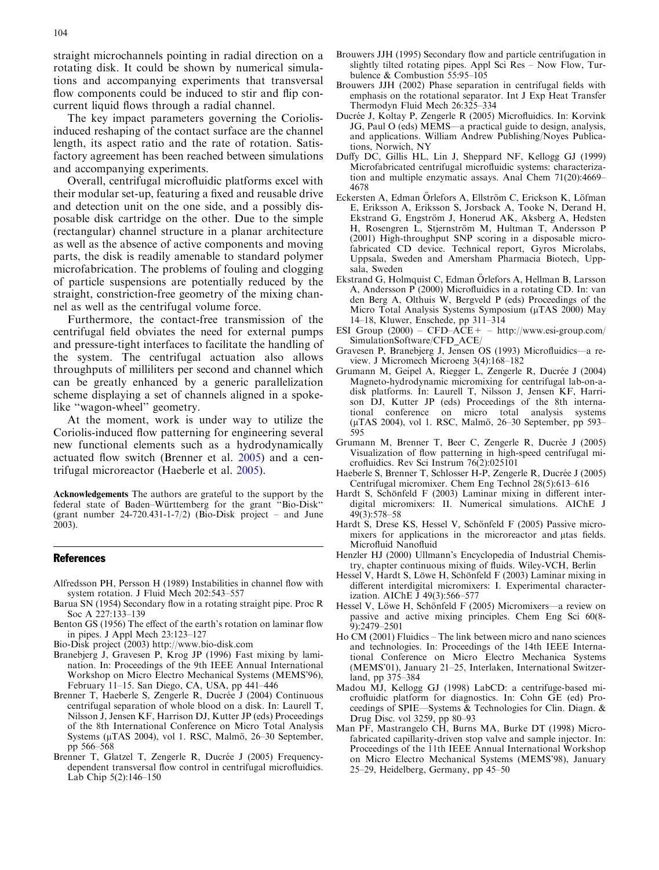<span id="page-7-0"></span>straight microchannels pointing in radial direction on a rotating disk. It could be shown by numerical simulations and accompanying experiments that transversal flow components could be induced to stir and flip concurrent liquid flows through a radial channel.

The key impact parameters governing the Coriolisinduced reshaping of the contact surface are the channel length, its aspect ratio and the rate of rotation. Satisfactory agreement has been reached between simulations and accompanying experiments.

Overall, centrifugal microfluidic platforms excel with their modular set-up, featuring a fixed and reusable drive and detection unit on the one side, and a possibly disposable disk cartridge on the other. Due to the simple (rectangular) channel structure in a planar architecture as well as the absence of active components and moving parts, the disk is readily amenable to standard polymer microfabrication. The problems of fouling and clogging of particle suspensions are potentially reduced by the straight, constriction-free geometry of the mixing channel as well as the centrifugal volume force.

Furthermore, the contact-free transmission of the centrifugal field obviates the need for external pumps and pressure-tight interfaces to facilitate the handling of the system. The centrifugal actuation also allows throughputs of milliliters per second and channel which can be greatly enhanced by a generic parallelization scheme displaying a set of channels aligned in a spokelike "wagon-wheel" geometry.

At the moment, work is under way to utilize the Coriolis-induced flow patterning for engineering several new functional elements such as a hydrodynamically actuated flow switch (Brenner et al. 2005) and a centrifugal microreactor (Haeberle et al. 2005).

Acknowledgements The authors are grateful to the support by the federal state of Baden–Württemberg for the grant "Bio-Disk" (grant number 24-720.431-1-7/2) (Bio-Disk project – and June 2003).

#### References

- Alfredsson PH, Persson H (1989) Instabilities in channel flow with system rotation. J Fluid Mech 202:543–557
- Barua SN (1954) Secondary flow in a rotating straight pipe. Proc R Soc A 227:133–139
- Benton GS (1956) The effect of the earth's rotation on laminar flow in pipes. J Appl Mech 23:123–127
- Bio-Disk project (2003) http://www.bio-disk.com
- Branebjerg J, Gravesen P, Krog JP (1996) Fast mixing by lamination. In: Proceedings of the 9th IEEE Annual International Workshop on Micro Electro Mechanical Systems (MEMS'96), February 11–15. San Diego, CA, USA, pp 441–446
- Brenner T, Haeberle S, Zengerle R, Ducrée J (2004) Continuous centrifugal separation of whole blood on a disk. In: Laurell T, Nilsson J, Jensen KF, Harrison DJ, Kutter JP (eds) Proceedings of the 8th International Conference on Micro Total Analysis Systems (µTAS 2004), vol 1. RSC, Malmö, 26-30 September, pp 566–568
- Brenner T, Glatzel T, Zengerle R, Ducrée J (2005) Frequencydependent transversal flow control in centrifugal microfluidics. Lab Chip 5(2):146–150
- Brouwers JJH (1995) Secondary flow and particle centrifugation in slightly tilted rotating pipes. Appl Sci Res – Now Flow, Turbulence & Combustion 55:95–105
- Brouwers JJH (2002) Phase separation in centrifugal fields with emphasis on the rotational separator. Int J Exp Heat Transfer Thermodyn Fluid Mech 26:325–334
- Ducrée J, Koltay P, Zengerle R (2005) Microfluidics. In: Korvink JG, Paul O (eds) MEMS—a practical guide to design, analysis, and applications. William Andrew Publishing/Noyes Publications, Norwich, NY
- Duffy DC, Gillis HL, Lin J, Sheppard NF, Kellogg GJ (1999) Microfabricated centrifugal microfluidic systems: characterization and multiple enzymatic assays. Anal Chem 71(20):4669– 4678
- Eckersten A, Edman Örlefors A, Ellström C, Erickson K, Löfman E, Eriksson A, Eriksson S, Jorsback A, Tooke N, Derand H, Ekstrand G, Engström J, Honerud AK, Aksberg A, Hedsten H, Rosengren L, Stjernström M, Hultman T, Andersson P (2001) High-throughput SNP scoring in a disposable microfabricated CD device. Technical report, Gyros Microlabs, Uppsala, Sweden and Amersham Pharmacia Biotech, Uppsala, Sweden
- Ekstrand G, Holmquist C, Edman Örlefors A, Hellman B, Larsson A, Andersson P (2000) Microfluidics in a rotating CD. In: van den Berg A, Olthuis W, Bergveld P (eds) Proceedings of the Micro Total Analysis Systems Symposium (µTAS 2000) May 14–18, Kluwer, Enschede, pp 311–314
- ESI Group  $(2000)$  CFD–ACE + http://www.esi-group.com/ SimulationSoftware/CFD\_ACE/
- Gravesen P, Branebjerg J, Jensen OS (1993) Microfluidics—a review. J Micromech Microeng 3(4):168–182
- Grumann M, Geipel A, Riegger L, Zengerle R, Ducrée J (2004) Magneto-hydrodynamic micromixing for centrifugal lab-on-adisk platforms. In: Laurell T, Nilsson J, Jensen KF, Harrison DJ, Kutter JP (eds) Proceedings of the 8th international conference on micro total analysis systems (µTAS 2004), vol 1. RSC, Malmö, 26–30 September, pp 593– 595
- Grumann M, Brenner T, Beer C, Zengerle R, Ducrée J (2005) Visualization of flow patterning in high-speed centrifugal microfluidics. Rev Sci Instrum 76(2):025101
- Haeberle S, Brenner T, Schlosser H-P, Zengerle R, Ducrée J (2005) Centrifugal micromixer. Chem Eng Technol 28(5):613–616
- Hardt S, Schönfeld F (2003) Laminar mixing in different interdigital micromixers: II. Numerical simulations. AIChE J 49(3):578–58
- Hardt S, Drese KS, Hessel V, Schönfeld F (2005) Passive micromixers for applications in the microreactor and utas fields. Microfluid Nanofluid
- Henzler HJ (2000) Ullmann's Encyclopedia of Industrial Chemistry, chapter continuous mixing of fluids. Wiley-VCH, Berlin
- Hessel V, Hardt S, Löwe H, Schönfeld F (2003) Laminar mixing in different interdigital micromixers: I. Experimental characterization. AIChE J 49(3):566–577
- Hessel V, Löwe H, Schönfeld F (2005) Micromixers—a review on passive and active mixing principles. Chem Eng Sci 60(8- 9):2479–2501
- Ho CM (2001) Fluidics The link between micro and nano sciences and technologies. In: Proceedings of the 14th IEEE International Conference on Micro Electro Mechanica Systems (MEMS'01), January 21–25, Interlaken, International Switzerland, pp 375–384
- Madou MJ, Kellogg GJ (1998) LabCD: a centrifuge-based microfluidic platform for diagnostics. In: Cohn GE (ed) Proceedings of SPIE—Systems & Technologies for Clin. Diagn. & Drug Disc. vol 3259, pp 80–93
- Man PF, Mastrangelo CH, Burns MA, Burke DT (1998) Microfabricated capillarity-driven stop valve and sample injector. In: Proceedings of the 11th IEEE Annual International Workshop on Micro Electro Mechanical Systems (MEMS'98), January 25–29, Heidelberg, Germany, pp 45–50